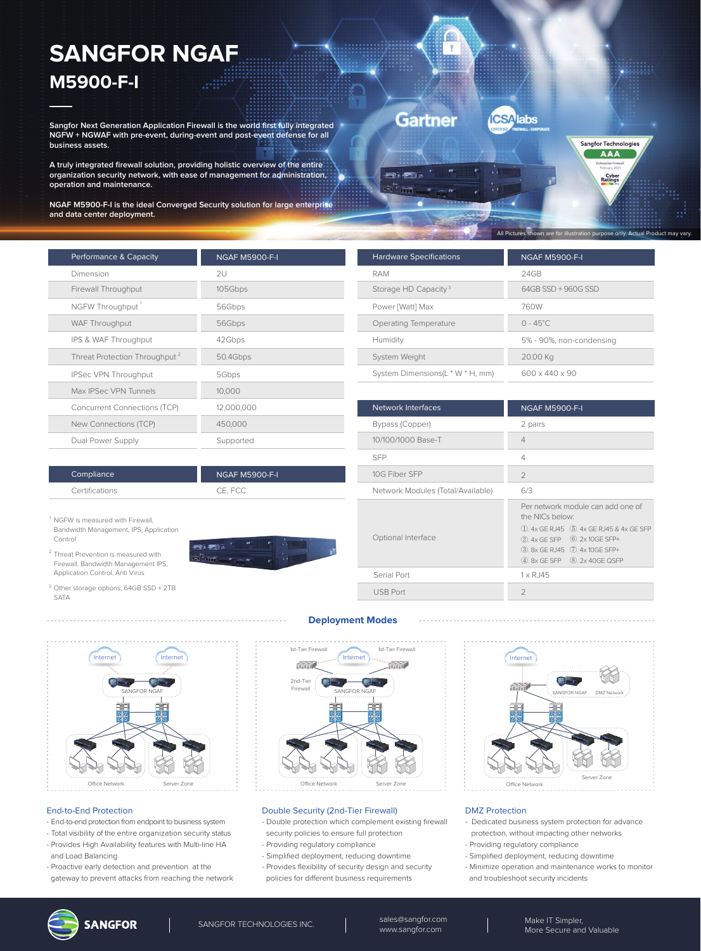# **SANGFOR NGAF M5900-F-I**

**Sangfor Next Generation Application Firewall is the world first fully integrated NGFW + NGWAF with pre-event, during-event and post-event defense for all business assets.** 

**A truly integrated firewall solution, providing holistic overview of the entire organization security network, with ease of management for administration, operation and maintenance.**

**NGAF M5900-F-I is the ideal Converged Security solution for large enterprise and data center deployment.**

| Performance & Capacity                    | <b>NGAF M5900-F-I</b> |
|-------------------------------------------|-----------------------|
| Dimension                                 | 2U                    |
| Firewall Throughput                       | 105Gbps               |
| NGFW Throughput                           | 56Gbps                |
| WAF Throughput                            | 56Gbps                |
| IPS & WAF Throughput                      | 42Gbps                |
| Threat Protection Throughput <sup>2</sup> | 50.4Gbps              |
| <b>IPSec VPN Throughput</b>               | 5Gbps                 |
| Max IPSec VPN Tunnels                     | 10,000                |
| Concurrent Connections (TCP)              | 12,000,000            |
| New Connections (TCP)                     | 450,000               |
| Dual Power Supply                         | Supported             |

NGAF M5900-F-I CE, FCC

| <b>Hardware Specifications</b>   | NGAF M5900-F-I             |
|----------------------------------|----------------------------|
| RAM                              | 24GB                       |
| Storage HD Capacity <sup>3</sup> | 64GB SSD + 960G SSD        |
| Power [Watt] Max                 | 760W                       |
| Operating Temperature            | $0 - 45^{\circ}$ C         |
| Humidity                         | 5% - 90%, non-condensing   |
| System Weight                    | 20.00 Kg                   |
| System Dimensions(L * W * H, mm) | $600 \times 440 \times 90$ |

All Pictures shown are for illustration purpose only. Actual Product may vary.

Sangfor Technologies AAA

Cybe<br>Ratings

| <b>Network Interfaces</b>         | <b>NGAF M5900-F-I</b>                                                                                                                                                    |
|-----------------------------------|--------------------------------------------------------------------------------------------------------------------------------------------------------------------------|
| Bypass (Copper)                   | 2 pairs                                                                                                                                                                  |
| 10/100/1000 Base-T                | $\overline{4}$                                                                                                                                                           |
| <b>SFP</b>                        | $\overline{4}$                                                                                                                                                           |
| 10G Fiber SFP                     | $\mathfrak{D}$                                                                                                                                                           |
| Network Modules (Total/Available) | 6/3                                                                                                                                                                      |
| Optional Interface                | Per network module can add one of<br>the NICs below:<br>1. 4x GE RJ45 (5). 4x GE RJ45 & 4x GE SFP<br>(2), 4x GE SFP (6), 2x 10GE SFP+<br>3. 8x GE RJ45 (7), 4x 10GE SFP+ |
| Serial Port                       | $1 \times R$ . 145                                                                                                                                                       |
| <b>USB Port</b>                   | $\mathcal{P}$                                                                                                                                                            |



# End-to-End Protection

Compliance Certifications

Control

SATA

<sup>1</sup> NGFW is measured with Firewall, Bandwidth Management, IPS, Application

<sup>2</sup> Threat Prevention is measured with Firewall, Bandwidth Management IPS, Application Control, Anti Virus <sup>3</sup> Other storage options; 64GB SSD + 2TB

- End-to-end protection from endpoint to business system
- Total visibility of the entire organization security status
- Provides High Availability features with Multi-line HA and Load Balancing
- Proactive early detection and prevention at the gateway to prevent attacks from reaching the network



**Deployment Modes**

### Double Security (2nd-Tier Firewall)

- Double protection which complement existing firewall
- security policies to ensure full protection
- Providing regulatory compliance
- Simplified deployment, reducing downtime
- Provides flexibility of security design and security policies for different business requirements



#### DMZ Protection

- Dedicated business system protection for advance protection, without impacting other networks
- Providing regulatory compliance
- Simplified deployment, reducing downtime
- Minimize operation and maintenance works to monitor and troubleshoot security incidents





# **ICSA labs Gartner**

**AB**  $\overline{ }$